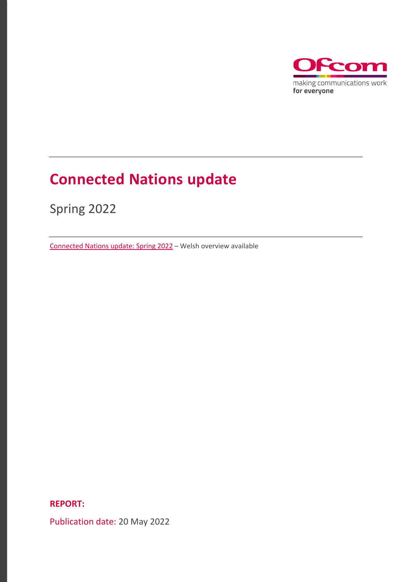

# **Connected Nations update**

Spring 2022

[Connected Nations update: Spring](https://www.ofcom.org.uk/__data/assets/pdf_file/0030/237864/gwanyn-2022-diweddariad-cysylltur-gwledydd.pdf) 2022 – Welsh overview available

**REPORT:**

Publication date: 20 May 2022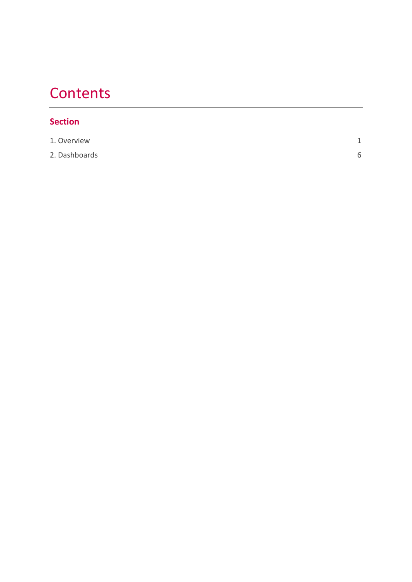# **Contents**

#### **Section**

| 1. Overview   | $\overline{ }$ |
|---------------|----------------|
| 2. Dashboards |                |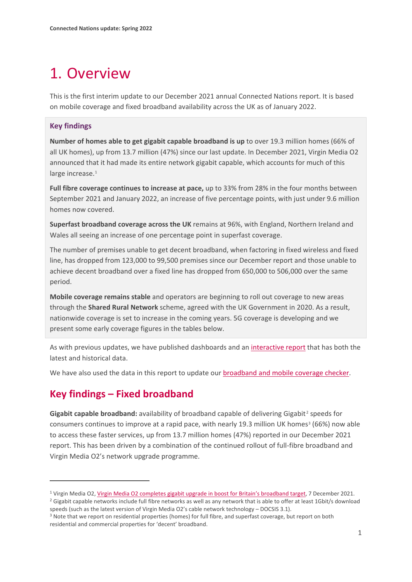# <span id="page-2-0"></span>1. Overview

This is the first interim update to our December 2021 annual Connected Nations report. It is based on mobile coverage and fixed broadband availability across the UK as of January 2022.

#### **Key findings**

**Number of homes able to get gigabit capable broadband is up** to over 19.3 million homes (66% of all UK homes), up from 13.7 million (47%) since our last update. In December 2021, Virgin Media O2 announced that it had made its entire network gigabit capable, which accounts for much of this large increase.<sup>[1](#page-2-1)</sup>

**Full fibre coverage continues to increase at pace,** up to 33% from 28% in the four months between September 2021 and January 2022, an increase of five percentage points, with just under 9.6 million homes now covered.

**Superfast broadband coverage across the UK** remains at 96%, with England, Northern Ireland and Wales all seeing an increase of one percentage point in superfast coverage.

The number of premises unable to get decent broadband, when factoring in fixed wireless and fixed line, has dropped from 123,000 to 99,500 premises since our December report and those unable to achieve decent broadband over a fixed line has dropped from 650,000 to 506,000 over the same period.

**Mobile coverage remains stable** and operators are beginning to roll out coverage to new areas through the **Shared Rural Network** scheme, agreed with the UK Government in 2020. As a result, nationwide coverage is set to increase in the coming years. 5G coverage is developing and we present some early coverage figures in the tables below.

As with previous updates, we have published dashboards and an [interactive report](https://www.ofcom.org.uk/research-and-data/multi-sector-research/infrastructure-research/connected-nations-update-spring-2022/interactive-report) that has both the latest and historical data.

We have also used the data in this report to update our [broadband and mobile coverage checker.](https://www.ofcom.org.uk/phones-telecoms-and-internet/advice-for-consumers/advice/ofcom-checker)

#### **Key findings – Fixed broadband**

Gigabit capable broadband: availability of broadband capable of delivering Gigabit<sup>[2](#page-2-2)</sup> speeds for consumers continues to improve at a rapid pace, with nearly 19.[3](#page-5-0) million UK homes<sup>3</sup> (66%) now able to access these faster services, up from 13.7 million homes (47%) reported in our December 2021 report. This has been driven by a combination of the continued rollout of full-fibre broadband and Virgin Media O2's network upgrade programme.

<span id="page-2-2"></span><sup>2</sup> Gigabit capable networks include full fibre networks as well as any network that is able to offer at least 1Gbit/s download speeds (such as the latest version of Virgin Media O2's cable network technology – DOCSIS 3.1).<br><sup>3</sup> Note that we report on residential properties (homes) for full fibre, and superfast coverage, but report on both

<span id="page-2-1"></span><sup>1</sup> Virgin Media O2, [Virgin Media O2 completes gigabit upgrade in boost for Britain's broadband target,](https://news.virginmediao2.co.uk/virgin-media-o2-completes-gigabit-upgrade-in-boost-for-britains-broadband-target/) 7 December 2021.

residential and commercial properties for 'decent' broadband.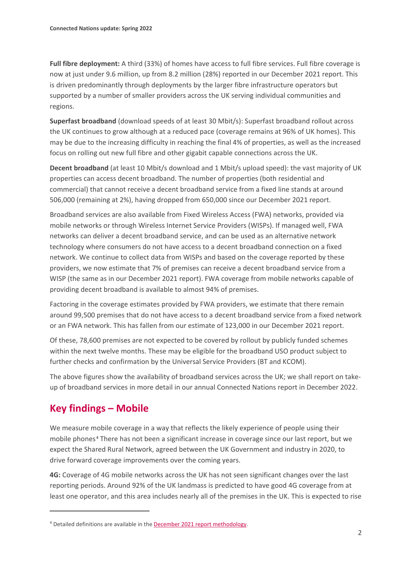**Full fibre deployment:** A third (33%) of homes have access to full fibre services. Full fibre coverage is now at just under 9.6 million, up from 8.2 million (28%) reported in our December 2021 report. This is driven predominantly through deployments by the larger fibre infrastructure operators but supported by a number of smaller providers across the UK serving individual communities and regions.

**Superfast broadband** (download speeds of at least 30 Mbit/s): Superfast broadband rollout across the UK continues to grow although at a reduced pace (coverage remains at 96% of UK homes). This may be due to the increasing difficulty in reaching the final 4% of properties, as well as the increased focus on rolling out new full fibre and other gigabit capable connections across the UK.

**Decent broadband** (at least 10 Mbit/s download and 1 Mbit/s upload speed): the vast majority of UK properties can access decent broadband. The number of properties (both residential and commercial) that cannot receive a decent broadband service from a fixed line stands at around 506,000 (remaining at 2%), having dropped from 650,000 since our December 2021 report.

Broadband services are also available from Fixed Wireless Access (FWA) networks, provided via mobile networks or through Wireless Internet Service Providers (WISPs). If managed well, FWA networks can deliver a decent broadband service, and can be used as an alternative network technology where consumers do not have access to a decent broadband connection on a fixed network. We continue to collect data from WISPs and based on the coverage reported by these providers, we now estimate that 7% of premises can receive a decent broadband service from a WISP (the same as in our December 2021 report). FWA coverage from mobile networks capable of providing decent broadband is available to almost 94% of premises.

Factoring in the coverage estimates provided by FWA providers, we estimate that there remain around 99,500 premises that do not have access to a decent broadband service from a fixed network or an FWA network. This has fallen from our estimate of 123,000 in our December 2021 report.

Of these, 78,600 premises are not expected to be covered by rollout by publicly funded schemes within the next twelve months. These may be eligible for the broadband USO product subject to further checks and confirmation by the Universal Service Providers (BT and KCOM).

The above figures show the availability of broadband services across the UK; we shall report on takeup of broadband services in more detail in our annual Connected Nations report in December 2022.

## **Key findings – Mobile**

We measure mobile coverage in a way that reflects the likely experience of people using their mobile phones [4](#page-3-0) There has not been a significant increase in coverage since our last report, but we expect the Shared Rural Network, agreed between the UK Government and industry in 2020, to drive forward coverage improvements over the coming years.

**4G:** Coverage of 4G mobile networks across the UK has not seen significant changes over the last reporting periods. Around 92% of the UK landmass is predicted to have good 4G coverage from at least one operator, and this area includes nearly all of the premises in the UK. This is expected to rise

<span id="page-3-0"></span><sup>4</sup> Detailed definitions are available in th[e December 2021 report](https://www.ofcom.org.uk/__data/assets/pdf_file/0023/229505/connected-nations-2021-methodology.pdf) methodology.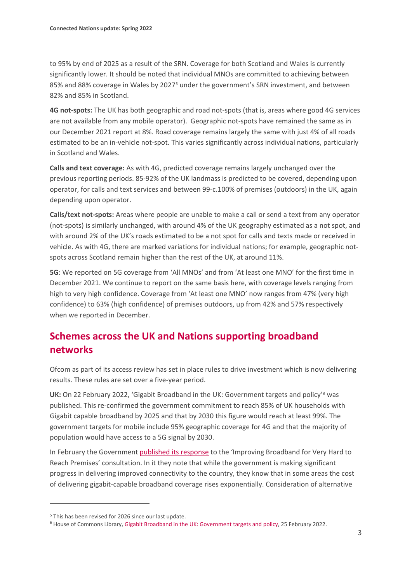to 95% by end of 2025 as a result of the SRN. Coverage for both Scotland and Wales is currently significantly lower. It should be noted that individual MNOs are committed to achieving between 85% and 88% coverage in Wales by 2027[5](#page-4-0) under the government's SRN investment, and between 82% and 85% in Scotland.

**4G not-spots:** The UK has both geographic and road not-spots (that is, areas where good 4G services are not available from any mobile operator). Geographic not-spots have remained the same as in our December 2021 report at 8%. Road coverage remains largely the same with just 4% of all roads estimated to be an in-vehicle not-spot. This varies significantly across individual nations, particularly in Scotland and Wales.

**Calls and text coverage:** As with 4G, predicted coverage remains largely unchanged over the previous reporting periods. 85-92% of the UK landmass is predicted to be covered, depending upon operator, for calls and text services and between 99-c.100% of premises (outdoors) in the UK, again depending upon operator.

**Calls/text not-spots:** Areas where people are unable to make a call or send a text from any operator (not-spots) is similarly unchanged, with around 4% of the UK geography estimated as a not spot, and with around 2% of the UK's roads estimated to be a not spot for calls and texts made or received in vehicle. As with 4G, there are marked variations for individual nations; for example, geographic notspots across Scotland remain higher than the rest of the UK, at around 11%.

**5G**: We reported on 5G coverage from 'All MNOs' and from 'At least one MNO' for the first time in December 2021. We continue to report on the same basis here, with coverage levels ranging from high to very high confidence. Coverage from 'At least one MNO' now ranges from 47% (very high confidence) to 63% (high confidence) of premises outdoors, up from 42% and 57% respectively when we reported in December.

### **Schemes across the UK and Nations supporting broadband networks**

Ofcom as part of its access review has set in place rules to drive investment which is now delivering results. These rules are set over a five-year period.

**UK:** On 22 February 2022, 'Gigabit Broadband in the UK: Government targets and policy'[6](#page-4-1) was published. This re-confirmed the government commitment to reach 85% of UK households with Gigabit capable broadband by 2025 and that by 2030 this figure would reach at least 99%. The government targets for mobile include 95% geographic coverage for 4G and that the majority of population would have access to a 5G signal by 2030.

In February the Government [published its response](https://www.gov.uk/government/consultations/improving-broadband-for-very-hard-to-reach-premises/outcome/improving-broadband-for-very-hard-to-reach-premises-government-response) to the 'Improving Broadband for Very Hard to Reach Premises' consultation. In it they note that while the government is making significant progress in delivering improved connectivity to the country, they know that in some areas the cost of delivering gigabit-capable broadband coverage rises exponentially. Consideration of alternative

<span id="page-4-1"></span><span id="page-4-0"></span><sup>&</sup>lt;sup>5</sup> This has been revised for 2026 since our last update.<br><sup>6</sup> House of Commons Library[, Gigabit Broadband in the UK: Government targets and policy,](https://researchbriefings.files.parliament.uk/documents/CBP-8392/CBP-8392.pdf) 25 February 2022.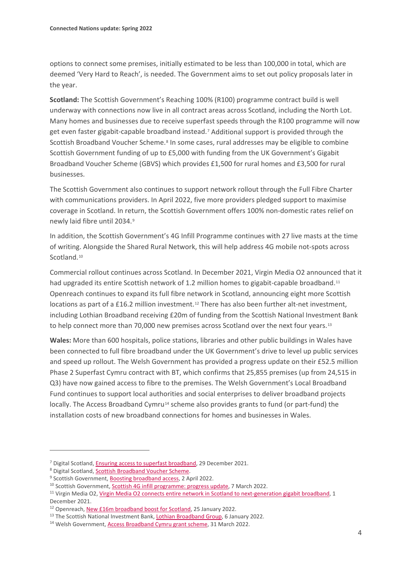options to connect some premises, initially estimated to be less than 100,000 in total, which are deemed 'Very Hard to Reach', is needed. The Government aims to set out policy proposals later in the year.

**Scotland:** The Scottish Government's Reaching 100% (R100) programme contract build is well underway with connections now live in all contract areas across Scotland, including the North Lot. Many homes and businesses due to receive superfast speeds through the R100 programme will now get even faster gigabit-capable broadband instead.[7](#page-5-1) Additional support is provided through the Scottish Broadband Voucher Scheme.<sup>[8](#page-5-2)</sup> In some cases, rural addresses may be eligible to combine Scottish Government funding of up to £5,000 with funding from the UK Government's Gigabit Broadband Voucher Scheme (GBVS) which provides £1,500 for rural homes and £3,500 for rural businesses.

The Scottish Government also continues to support network rollout through the Full Fibre Charter with communications providers. In April 2022, five more providers pledged support to maximise coverage in Scotland. In return, the Scottish Government offers 100% non-domestic rates relief on newly laid fibre until 2034.[9](#page-5-3)

In addition, the Scottish Government's 4G Infill Programme continues with 27 live masts at the time of writing. Alongside the Shared Rural Network, this will help address 4G mobile not-spots across Scotland.<sup>[10](#page-5-4)</sup>

Commercial rollout continues across Scotland. In December 2021, Virgin Media O2 announced that it had upgraded its entire Scottish network of 1.2 million homes to gigabit-capable broadband.<sup>[11](#page-5-5)</sup> Openreach continues to expand its full fibre network in Scotland, announcing eight more Scottish locations as part of a £16.2 million investment.<sup>[12](#page-5-6)</sup> There has also been further alt-net investment, including Lothian Broadband receiving £20m of funding from the Scottish National Investment Bank to help connect more than 70,000 new premises across Scotland over the next four years.<sup>[13](#page-5-0)</sup>

**Wales:** More than 600 hospitals, police stations, libraries and other public buildings in Wales have been connected to full fibre broadband under the UK Government's drive to level up public services and speed up rollout. The Welsh Government has provided a progress update on their £52.5 million Phase 2 Superfast Cymru contract with BT, which confirms that 25,855 premises (up from 24,515 in Q3) have now gained access to fibre to the premises. The Welsh Government's Local Broadband Fund continues to support local authorities and social enterprises to deliver broadband projects locally. The Access Broadband Cymru<sup>[14](#page-5-7)</sup> scheme also provides grants to fund (or part-fund) the installation costs of new broadband connections for homes and businesses in Wales.

<span id="page-5-3"></span>

<span id="page-5-5"></span><span id="page-5-4"></span>

<span id="page-5-2"></span><span id="page-5-1"></span><sup>&</sup>lt;sup>7</sup> Digital Scotland, <u>Ensuring access to superfast broadband</u>, 29 December 2021.<br>
<sup>8</sup> Digital Scotland, <u>Scottish Broadband Voucher Scheme</u>.<br>
<sup>9</sup> Scottish Government, <u>Boosting broadband access</u>, 2 April 2022.<br>
<sup>10</sup> Scott December 2021.

<span id="page-5-6"></span><sup>&</sup>lt;sup>12</sup> Openreach, [New £16m broadband boost for Scotland,](https://www.openreach.com/news/new-16m-broadband-boost-for-scotland/) 25 January 2022.

<span id="page-5-7"></span><span id="page-5-0"></span><sup>&</sup>lt;sup>13</sup> The Scottish National Investment Bank[, Lothian Broadband Group,](https://www.thebank.scot/portfolio/lothian-broadband-group/) 6 January 2022. <sup>14</sup> Welsh Government[, Access Broadband Cymru grant scheme,](https://gov.wales/access-broadband-cymru-grant-scheme) 31 March 2022.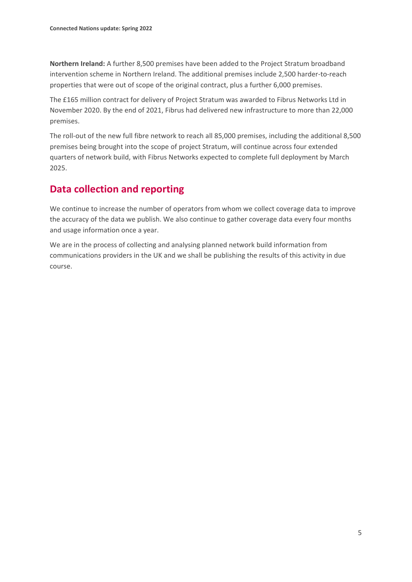**Northern Ireland:** A further 8,500 premises have been added to the Project Stratum broadband intervention scheme in Northern Ireland. The additional premises include 2,500 harder-to-reach properties that were out of scope of the original contract, plus a further 6,000 premises.

The £165 million contract for delivery of Project Stratum was awarded to Fibrus Networks Ltd in November 2020. By the end of 2021, Fibrus had delivered new infrastructure to more than 22,000 premises.

The roll-out of the new full fibre network to reach all 85,000 premises, including the additional 8,500 premises being brought into the scope of project Stratum, will continue across four extended quarters of network build, with Fibrus Networks expected to complete full deployment by March 2025.

### **Data collection and reporting**

We continue to increase the number of operators from whom we collect coverage data to improve the accuracy of the data we publish. We also continue to gather coverage data every four months and usage information once a year.

We are in the process of collecting and analysing planned network build information from communications providers in the UK and we shall be publishing the results of this activity in due course.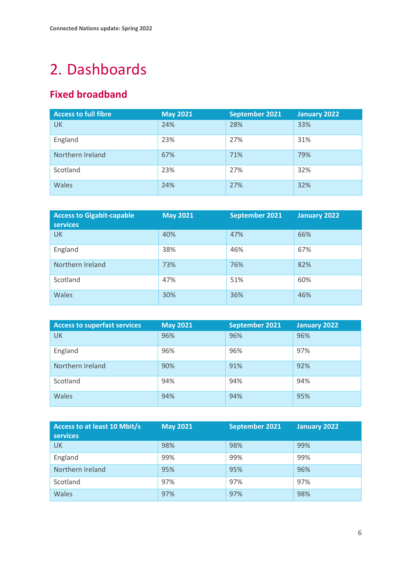# <span id="page-7-0"></span>2. Dashboards

# **Fixed broadband**

| <b>Access to full fibre</b> | <b>May 2021</b> | September 2021 | January 2022 |
|-----------------------------|-----------------|----------------|--------------|
| UK                          | 24%             | 28%            | 33%          |
| England                     | 23%             | 27%            | 31%          |
| Northern Ireland            | 67%             | 71%            | 79%          |
| Scotland                    | 23%             | 27%            | 32%          |
| <b>Wales</b>                | 24%             | 27%            | 32%          |

| <b>Access to Gigabit-capable</b><br><b>services</b> | <b>May 2021</b> | September 2021 | <b>January 2022</b> |
|-----------------------------------------------------|-----------------|----------------|---------------------|
| <b>UK</b>                                           | 40%             | 47%            | 66%                 |
| England                                             | 38%             | 46%            | 67%                 |
| Northern Ireland                                    | 73%             | 76%            | 82%                 |
| Scotland                                            | 47%             | 51%            | 60%                 |
| Wales                                               | 30%             | 36%            | 46%                 |

| <b>Access to superfast services</b> | <b>May 2021</b> | September 2021 | January 2022 |
|-------------------------------------|-----------------|----------------|--------------|
| UK.                                 | 96%             | 96%            | 96%          |
| England                             | 96%             | 96%            | 97%          |
| Northern Ireland                    | 90%             | 91%            | 92%          |
| Scotland                            | 94%             | 94%            | 94%          |
| <b>Wales</b>                        | 94%             | 94%            | 95%          |

| <b>Access to at least 10 Mbit/s</b><br><b>services</b> | <b>May 2021</b> | September 2021 | January 2022 |
|--------------------------------------------------------|-----------------|----------------|--------------|
| <b>UK</b>                                              | 98%             | 98%            | 99%          |
| England                                                | 99%             | 99%            | 99%          |
| Northern Ireland                                       | 95%             | 95%            | 96%          |
| Scotland                                               | 97%             | 97%            | 97%          |
| <b>Wales</b>                                           | 97%             | 97%            | 98%          |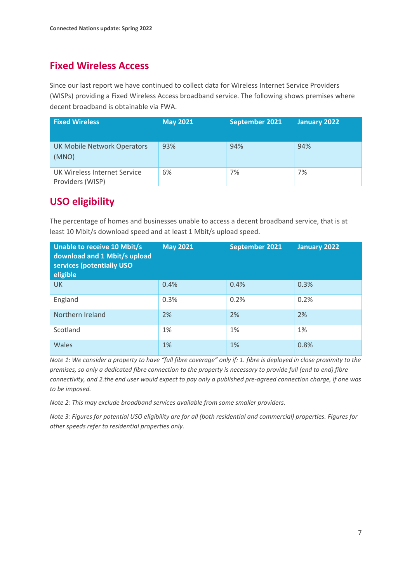### **Fixed Wireless Access**

Since our last report we have continued to collect data for Wireless Internet Service Providers (WISPs) providing a Fixed Wireless Access broadband service. The following shows premises where decent broadband is obtainable via FWA.

| <b>Fixed Wireless</b>                            | <b>May 2021</b> | September 2021 | January 2022 |
|--------------------------------------------------|-----------------|----------------|--------------|
| <b>UK Mobile Network Operators</b><br>(MNO)      | 93%             | 94%            | 94%          |
| UK Wireless Internet Service<br>Providers (WISP) | 6%              | 7%             | 7%           |

### **USO eligibility**

The percentage of homes and businesses unable to access a decent broadband service, that is at least 10 Mbit/s download speed and at least 1 Mbit/s upload speed.

| Unable to receive 10 Mbit/s<br>download and 1 Mbit/s upload<br>services (potentially USO<br>eligible | <b>May 2021</b> | September 2021 | January 2022 |
|------------------------------------------------------------------------------------------------------|-----------------|----------------|--------------|
| UK.                                                                                                  | 0.4%            | 0.4%           | 0.3%         |
| England                                                                                              | 0.3%            | 0.2%           | 0.2%         |
| Northern Ireland                                                                                     | 2%              | 2%             | 2%           |
| Scotland                                                                                             | 1%              | 1%             | 1%           |
| <b>Wales</b>                                                                                         | 1%              | 1%             | 0.8%         |

*Note 1: We consider a property to have "full fibre coverage" only if: 1. fibre is deployed in close proximity to the premises, so only a dedicated fibre connection to the property is necessary to provide full (end to end) fibre connectivity, and 2.the end user would expect to pay only a published pre-agreed connection charge, if one was to be imposed.*

*Note 2: This may exclude broadband services available from some smaller providers.*

*Note 3: Figures for potential USO eligibility are for all (both residential and commercial) properties. Figures for other speeds refer to residential properties only.*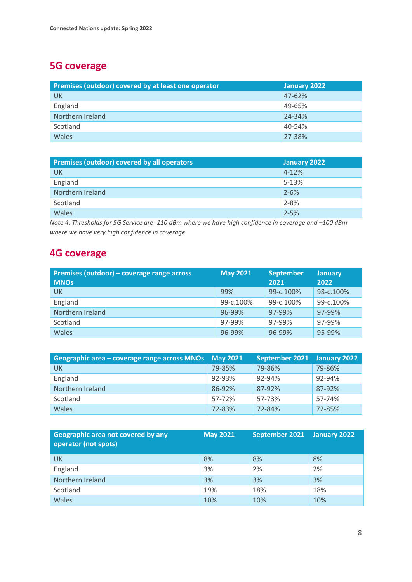# **5G coverage**

| Premises (outdoor) covered by at least one operator | January 2022 |
|-----------------------------------------------------|--------------|
| UK                                                  | 47-62%       |
| England                                             | 49-65%       |
| Northern Ireland                                    | 24-34%       |
| Scotland                                            | 40-54%       |
| Wales                                               | 27-38%       |

| Premises (outdoor) covered by all operators | January 2022 |
|---------------------------------------------|--------------|
| <b>UK</b>                                   | $4 - 12%$    |
| England                                     | 5-13%        |
| Northern Ireland                            | $2 - 6%$     |
| Scotland                                    | $2 - 8%$     |
| Wales                                       | $2 - 5%$     |

*Note 4: Thresholds for 5G Service are -110 dBm where we have high confidence in coverage and –100 dBm where we have very high confidence in coverage.* 

#### **4G coverage**

| Premises (outdoor) – coverage range across | <b>May 2021</b> | <b>September</b> | <b>January</b> |
|--------------------------------------------|-----------------|------------------|----------------|
| <b>MNOs</b>                                |                 | 2021             | 2022           |
| <b>UK</b>                                  | 99%             | 99-c.100%        | 98-c.100%      |
| England                                    | 99-c.100%       | 99-c.100%        | 99-c.100%      |
| Northern Ireland                           | 96-99%          | 97-99%           | 97-99%         |
| Scotland                                   | 97-99%          | 97-99%           | 97-99%         |
| <b>Wales</b>                               | 96-99%          | 96-99%           | 95-99%         |

| Geographic area – coverage range across MNOs | <b>May 2021</b> | September 2021 | January 2022 |
|----------------------------------------------|-----------------|----------------|--------------|
| <b>UK</b>                                    | 79-85%          | 79-86%         | 79-86%       |
| England                                      | 92-93%          | 92-94%         | 92-94%       |
| Northern Ireland                             | 86-92%          | 87-92%         | 87-92%       |
| Scotland                                     | 57-72%          | 57-73%         | 57-74%       |
| <b>Wales</b>                                 | 72-83%          | 72-84%         | 72-85%       |

| Geographic area not covered by any<br>operator (not spots) | <b>May 2021</b> | September 2021 | January 2022 |
|------------------------------------------------------------|-----------------|----------------|--------------|
| UK                                                         | 8%              | 8%             | 8%           |
| England                                                    | 3%              | 2%             | 2%           |
| Northern Ireland                                           | 3%              | 3%             | 3%           |
| Scotland                                                   | 19%             | 18%            | 18%          |
| Wales                                                      | 10%             | 10%            | 10%          |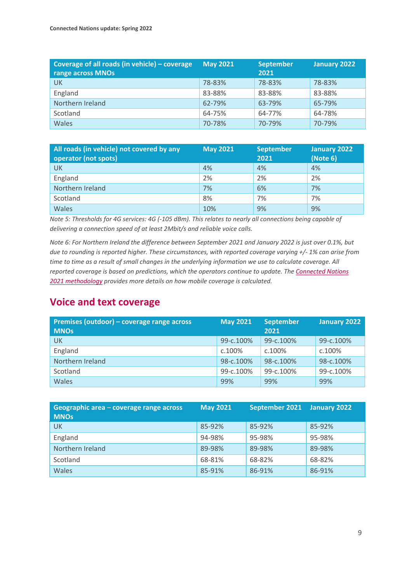| Coverage of all roads (in vehicle) $-$ coverage<br>range across MNOs | <b>May 2021</b> | <b>September</b><br>2021 | January 2022 |
|----------------------------------------------------------------------|-----------------|--------------------------|--------------|
| UK                                                                   | 78-83%          | 78-83%                   | 78-83%       |
| England                                                              | 83-88%          | 83-88%                   | 83-88%       |
| Northern Ireland                                                     | 62-79%          | 63-79%                   | 65-79%       |
| Scotland                                                             | 64-75%          | 64-77%                   | 64-78%       |
| Wales                                                                | 70-78%          | 70-79%                   | 70-79%       |

| All roads (in vehicle) not covered by any | <b>May 2021</b> | <b>September</b> | <b>January 2022</b> |
|-------------------------------------------|-----------------|------------------|---------------------|
| operator (not spots)                      |                 | 2021             | (Note 6)            |
| <b>UK</b>                                 | 4%              | 4%               | 4%                  |
| England                                   | 2%              | 2%               | 2%                  |
| Northern Ireland                          | 7%              | 6%               | 7%                  |
| Scotland                                  | 8%              | 7%               | 7%                  |
| Wales                                     | 10%             | 9%               | 9%                  |

*Note 5: Thresholds for 4G services: 4G (-105 dBm). This relates to nearly all connections being capable of delivering a connection speed of at least 2Mbit/s and reliable voice calls.*

*Note 6: For Northern Ireland the difference between September 2021 and January 2022 is just over 0.1%, but due to rounding is reported higher. These circumstances, with reported coverage varying +/- 1% can arise from time to time as a result of small changes in the underlying information we use to calculate coverage. All reported coverage is based on predictions, which the operators continue to update. Th[e Connected Nations](https://www.ofcom.org.uk/__data/assets/pdf_file/0023/229505/connected-nations-2021-methodology.pdf)  [2021 methodology](https://www.ofcom.org.uk/__data/assets/pdf_file/0023/229505/connected-nations-2021-methodology.pdf) provides more details on how mobile coverage is calculated.*

#### **Voice and text coverage**

| Premises (outdoor) – coverage range across<br><b>MNOs</b> | <b>May 2021</b> | <b>September</b><br>2021 | January 2022 |
|-----------------------------------------------------------|-----------------|--------------------------|--------------|
| UK                                                        | 99-c.100%       | 99-c.100%                | 99-c.100%    |
| England                                                   | c.100%          | c.100%                   | c.100%       |
| Northern Ireland                                          | 98-c.100%       | 98-c.100%                | 98-c.100%    |
| Scotland                                                  | 99-c.100%       | 99-c.100%                | 99-c.100%    |
| <b>Wales</b>                                              | 99%             | 99%                      | 99%          |

| Geographic area – coverage range across<br><b>MNOs</b> | <b>May 2021</b> | September 2021 | January 2022 |
|--------------------------------------------------------|-----------------|----------------|--------------|
| <b>UK</b>                                              | 85-92%          | 85-92%         | 85-92%       |
| England                                                | 94-98%          | 95-98%         | 95-98%       |
| Northern Ireland                                       | 89-98%          | 89-98%         | 89-98%       |
| Scotland                                               | 68-81%          | 68-82%         | 68-82%       |
| <b>Wales</b>                                           | 85-91%          | 86-91%         | 86-91%       |